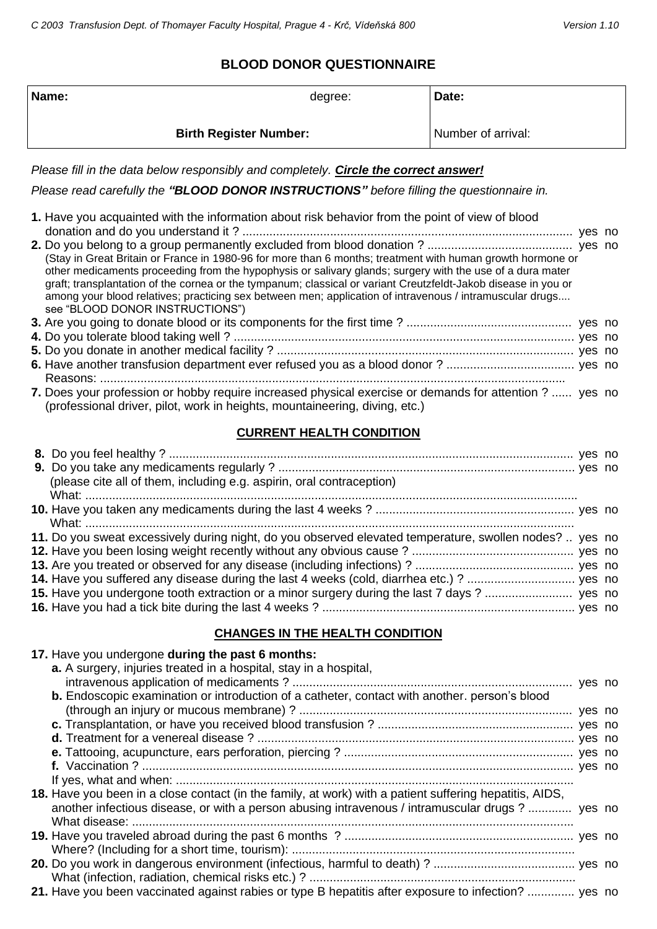# **BLOOD DONOR QUESTIONNAIRE**

| Name:<br>Date:<br>degree:                                                                                                                                                                                                                                                                                                                                                                                                                                                                                                                                                                   |  |  |  |  |  |
|---------------------------------------------------------------------------------------------------------------------------------------------------------------------------------------------------------------------------------------------------------------------------------------------------------------------------------------------------------------------------------------------------------------------------------------------------------------------------------------------------------------------------------------------------------------------------------------------|--|--|--|--|--|
| Number of arrival:<br><b>Birth Register Number:</b>                                                                                                                                                                                                                                                                                                                                                                                                                                                                                                                                         |  |  |  |  |  |
| Please fill in the data below responsibly and completely. Circle the correct answer!                                                                                                                                                                                                                                                                                                                                                                                                                                                                                                        |  |  |  |  |  |
| Please read carefully the "BLOOD DONOR INSTRUCTIONS" before filling the questionnaire in.                                                                                                                                                                                                                                                                                                                                                                                                                                                                                                   |  |  |  |  |  |
| 1. Have you acquainted with the information about risk behavior from the point of view of blood<br>(Stay in Great Britain or France in 1980-96 for more than 6 months; treatment with human growth hormone or<br>other medicaments proceeding from the hypophysis or salivary glands; surgery with the use of a dura mater<br>graft; transplantation of the cornea or the tympanum; classical or variant Creutzfeldt-Jakob disease in you or<br>among your blood relatives; practicing sex between men; application of intravenous / intramuscular drugs<br>see "BLOOD DONOR INSTRUCTIONS") |  |  |  |  |  |
|                                                                                                                                                                                                                                                                                                                                                                                                                                                                                                                                                                                             |  |  |  |  |  |
|                                                                                                                                                                                                                                                                                                                                                                                                                                                                                                                                                                                             |  |  |  |  |  |
|                                                                                                                                                                                                                                                                                                                                                                                                                                                                                                                                                                                             |  |  |  |  |  |
|                                                                                                                                                                                                                                                                                                                                                                                                                                                                                                                                                                                             |  |  |  |  |  |
| 7. Does your profession or hobby require increased physical exercise or demands for attention ?  yes no<br>(professional driver, pilot, work in heights, mountaineering, diving, etc.)                                                                                                                                                                                                                                                                                                                                                                                                      |  |  |  |  |  |
| <b>CURRENT HEALTH CONDITION</b>                                                                                                                                                                                                                                                                                                                                                                                                                                                                                                                                                             |  |  |  |  |  |
|                                                                                                                                                                                                                                                                                                                                                                                                                                                                                                                                                                                             |  |  |  |  |  |
|                                                                                                                                                                                                                                                                                                                                                                                                                                                                                                                                                                                             |  |  |  |  |  |
| (please cite all of them, including e.g. aspirin, oral contraception)                                                                                                                                                                                                                                                                                                                                                                                                                                                                                                                       |  |  |  |  |  |
|                                                                                                                                                                                                                                                                                                                                                                                                                                                                                                                                                                                             |  |  |  |  |  |
| 11. Do you sweat excessively during night, do you observed elevated temperature, swollen nodes?  yes no                                                                                                                                                                                                                                                                                                                                                                                                                                                                                     |  |  |  |  |  |
|                                                                                                                                                                                                                                                                                                                                                                                                                                                                                                                                                                                             |  |  |  |  |  |
|                                                                                                                                                                                                                                                                                                                                                                                                                                                                                                                                                                                             |  |  |  |  |  |
|                                                                                                                                                                                                                                                                                                                                                                                                                                                                                                                                                                                             |  |  |  |  |  |
|                                                                                                                                                                                                                                                                                                                                                                                                                                                                                                                                                                                             |  |  |  |  |  |
|                                                                                                                                                                                                                                                                                                                                                                                                                                                                                                                                                                                             |  |  |  |  |  |
| <b>CHANGES IN THE HEALTH CONDITION</b>                                                                                                                                                                                                                                                                                                                                                                                                                                                                                                                                                      |  |  |  |  |  |
| 17. Have you undergone during the past 6 months:<br>a. A surgery, injuries treated in a hospital, stay in a hospital,                                                                                                                                                                                                                                                                                                                                                                                                                                                                       |  |  |  |  |  |

| <b>b.</b> Endoscopic examination or introduction of a catheter, contact with another. person's blood    |  |
|---------------------------------------------------------------------------------------------------------|--|
|                                                                                                         |  |
|                                                                                                         |  |
|                                                                                                         |  |
|                                                                                                         |  |
|                                                                                                         |  |
|                                                                                                         |  |
| 18. Have you been in a close contact (in the family, at work) with a patient suffering hepatitis, AIDS, |  |
| another infectious disease, or with a person abusing intravenous / intramuscular drugs ?  yes no        |  |
|                                                                                                         |  |
|                                                                                                         |  |
|                                                                                                         |  |
|                                                                                                         |  |
|                                                                                                         |  |
| 21. Have you been vaccinated against rabies or type B hepatitis after exposure to infection?  yes no    |  |
|                                                                                                         |  |